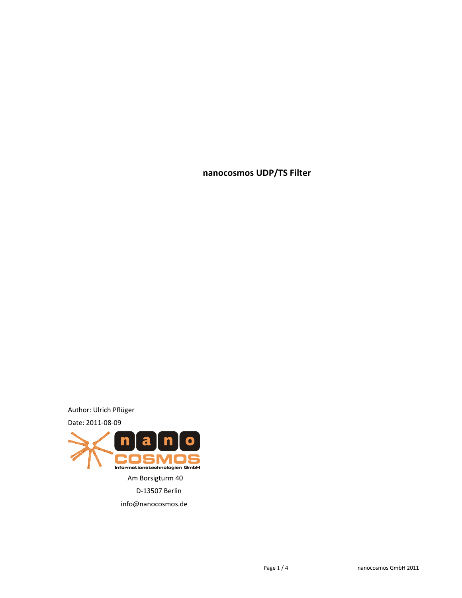**nanocosmos UDP/TS Filter**

Author: Ulrich Pflüger

Date: 2011-08-09

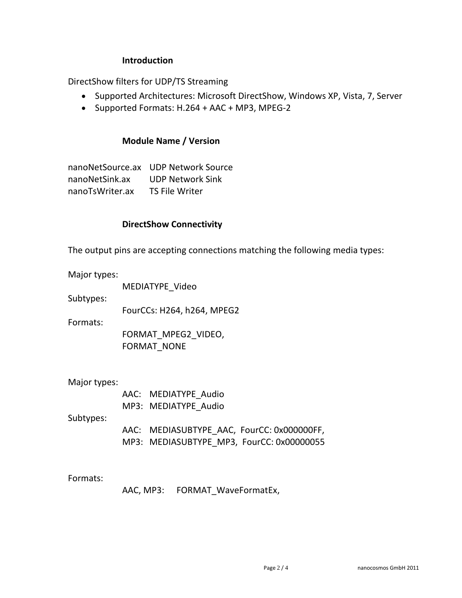## **Introduction**

DirectShow filters for UDP/TS Streaming

- Supported Architectures: Microsoft DirectShow, Windows XP, Vista, 7, Server
- Supported Formats: H.264 + AAC + MP3, MPEG-2

## **Module Name / Version**

nanoNetSource.ax UDP Network Source nanoNetSink.ax UDP Network Sink nanoTsWriter.ax TS File Writer

### **DirectShow Connectivity**

The output pins are accepting connections matching the following media types:

Major types:

MEDIATYPE\_Video

Subtypes:

FourCCs: H264, h264, MPEG2

Formats:

FORMAT\_MPEG2\_VIDEO, FORMAT\_NONE

Major types:

AAC: MEDIATYPE\_Audio MP3: MEDIATYPE\_Audio

Subtypes:

AAC: MEDIASUBTYPE\_AAC, FourCC: 0x000000FF, MP3: MEDIASUBTYPE\_MP3, FourCC: 0x00000055

Formats:

AAC, MP3: FORMAT\_WaveFormatEx,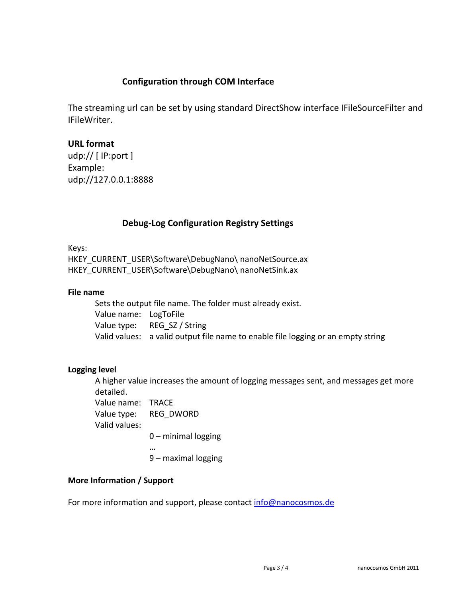# **Configuration through COM Interface**

The streaming url can be set by using standard DirectShow interface IFileSourceFilter and IFileWriter.

## **URL format**

udp:// [ IP:port ] Example: udp://127.0.0.1:8888

## **Debug-Log Configuration Registry Settings**

Keys:

HKEY\_CURRENT\_USER\Software\DebugNano\ nanoNetSource.ax HKEY\_CURRENT\_USER\Software\DebugNano\ nanoNetSink.ax

#### **File name**

Sets the output file name. The folder must already exist. Value name: LogToFile Value type: REG\_SZ / String Valid values: a valid output file name to enable file logging or an empty string

### **Logging level**

A higher value increases the amount of logging messages sent, and messages get more detailed.

Value name: TRACE Value type: REG\_DWORD Valid values:

0 – minimal logging

…

9 – maximal logging

### **More Information / Support**

For more information and support, please contact [info@nanocosmos.de](mailto:info@nanocosmos.de)